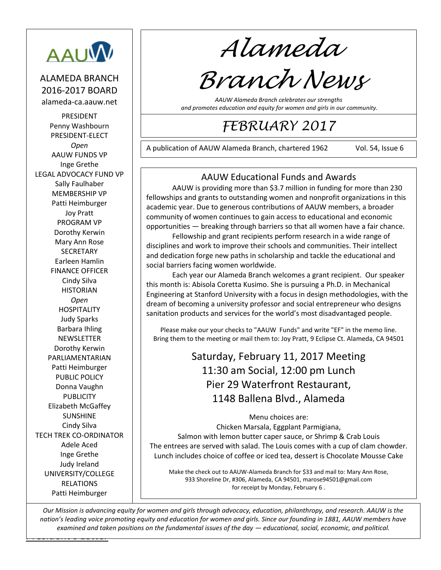

ALAMEDA BRANCH 2016-2017 BOARD alameda-ca.aauw.net

PRESIDENT Penny Washbourn PRESIDENT-ELECT *Open* AAUW FUNDS VP Inge Grethe LEGAL ADVOCACY FUND VP Sally Faulhaber MEMBERSHIP VP Patti Heimburger Joy Pratt PROGRAM VP Dorothy Kerwin Mary Ann Rose **SECRETARY** Earleen Hamlin FINANCE OFFICER Cindy Silva **HISTORIAN** *Open* HOSPITALITY Judy Sparks Barbara Ihling **NEWSLETTER** Dorothy Kerwin PARLIAMENTARIAN Patti Heimburger PUBLIC POLICY Donna Vaughn PUBLICITY Elizabeth McGaffey SUNSHINE Cindy Silva TECH TREK CO-ORDINATOR Adele Aced Inge Grethe Judy Ireland UNIVERSITY/COLLEGE RELATIONS Patti Heimburger

*Alameda*

# *Branch News*

*AAUW Alameda Branch celebrates our strengths and promotes education and equity for women and girls in our community.*

## *FEBRUARY 2017*

A publication of AAUW Alameda Branch, chartered 1962 Vol. 54, Issue 6

221210

## AAUW Educational Funds and Awards

AAUW is providing more than \$3.7 million in funding for more than 230 fellowships and grants to outstanding women and nonprofit organizations in this academic year. Due to generous contributions of AAUW members, a broader community of women continues to gain access to educational and economic opportunities — breaking through barriers so that all women have a fair chance.

Fellowship and grant recipients perform research in a wide range of disciplines and work to improve their schools and communities. Their intellect and dedication forge new paths in scholarship and tackle the educational and social barriers facing women worldwide.

Each year our Alameda Branch welcomes a grant recipient. Our speaker this month is: Abisola Coretta Kusimo. She is pursuing a Ph.D. in Mechanical Engineering at Stanford University with a focus in design methodologies, with the dream of becoming a university professor and social entrepreneur who designs sanitation products and services for the world's most disadvantaged people.

Please make our your checks to "AAUW Funds" and write "EF" in the memo line. Bring them to the meeting or mail them to: Joy Pratt, 9 Eclipse Ct. Alameda, CA 94501

> Saturday, February 11, 2017 Meeting 11:30 am Social, 12:00 pm Lunch Pier 29 Waterfront Restaurant, 1148 Ballena Blvd., Alameda

> > Menu choices are:

Chicken Marsala, Eggplant Parmigiana, Salmon with lemon butter caper sauce, or Shrimp & Crab Louis The entrees are served with salad. The Louis comes with a cup of clam chowder. Lunch includes choice of coffee or iced tea, dessert is Chocolate Mousse Cake

Make the check out to AAUW-Alameda Branch for \$33 and mail to: Mary Ann Rose, 933 Shoreline Dr, #306, Alameda, CA 94501[, marose94501@gmail.com](mailto:marose94501@gmail.com) for receipt by Monday, February 6 .

<u>Letters and the Letters and</u> *Our Mission is advancing equity for women and girls through advocacy, education, philanthropy, and research. AAUW is the nation's leading voice promoting equity and education for women and girls. Since our founding in 1881, AAUW members have examined and taken positions on the fundamental issues of the day — educational, social, economic, and political.*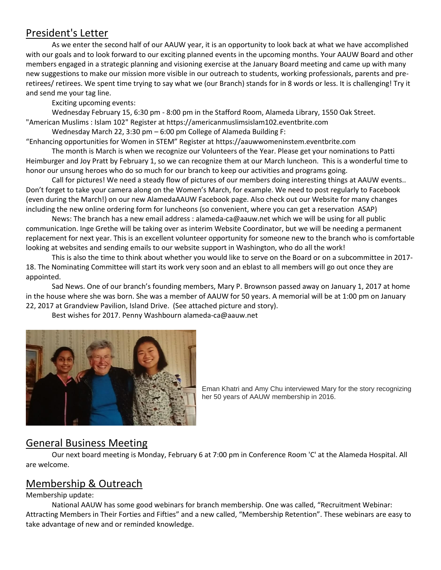## President's Letter

As we enter the second half of our AAUW year, it is an opportunity to look back at what we have accomplished with our goals and to look forward to our exciting planned events in the upcoming months. Your AAUW Board and other members engaged in a strategic planning and visioning exercise at the January Board meeting and came up with many new suggestions to make our mission more visible in our outreach to students, working professionals, parents and preretirees/ retirees. We spent time trying to say what we (our Branch) stands for in 8 words or less. It is challenging! Try it and send me your tag line.

Exciting upcoming events:

Wednesday February 15, 6:30 pm - 8:00 pm in the Stafford Room, Alameda Library, 1550 Oak Street. "American Muslims : Islam 102" Register at https://americanmuslimsislam102.eventbrite.com

Wednesday March 22, 3:30 pm – 6:00 pm College of Alameda Building F:

"Enhancing opportunities for Women in STEM" Register at [https://aauwwomeninstem.eventbrite.com](https://aauwwomeninstem.eventbrite.com/)

The month is March is when we recognize our Volunteers of the Year. Please get your nominations to Patti Heimburger and Joy Pratt by February 1, so we can recognize them at our March luncheon. This is a wonderful time to honor our unsung heroes who do so much for our branch to keep our activities and programs going.

Call for pictures! We need a steady flow of pictures of our members doing interesting things at AAUW events.. Don't forget to take your camera along on the Women's March, for example. We need to post regularly to Facebook (even during the March!) on our new AlamedaAAUW Facebook page. Also check out our Website for many changes including the new online ordering form for luncheons (so convenient, where you can get a reservation ASAP)

News: The branch has a new email address : [alameda-ca@aauw.net](mailto:alameda-ca@aauw.net) which we will be using for all public communication. Inge Grethe will be taking over as interim Website Coordinator, but we will be needing a permanent replacement for next year. This is an excellent volunteer opportunity for someone new to the branch who is comfortable looking at websites and sending emails to our website support in Washington, who do all the work!

This is also the time to think about whether you would like to serve on the Board or on a subcommittee in 2017- 18. The Nominating Committee will start its work very soon and an eblast to all members will go out once they are appointed.

Sad News. One of our branch's founding members, Mary P. Brownson passed away on January 1, 2017 at home in the house where she was born. She was a member of AAUW for 50 years. A memorial will be at 1:00 pm on January 22, 2017 at Grandview Pavilion, Island Drive. (See attached picture and story).

Best wishes for 2017. Penny Washbour[n alameda-ca@aauw.net](mailto:alameda-ca@aauw.net)



Eman Khatri and Amy Chu interviewed Mary for the story recognizing her 50 years of AAUW membership in 2016.

## General Business Meeting

Our next board meeting is Monday, February 6 at 7:00 pm in Conference Room 'C' at the Alameda Hospital. All are welcome.

## Membership & Outreach

Membership update:

National AAUW has some good webinars for branch membership. One was called, "Recruitment Webinar: Attracting Members in Their Forties and Fifties" and a new called, "Membership Retention". These webinars are easy to take advantage of new and or reminded knowledge.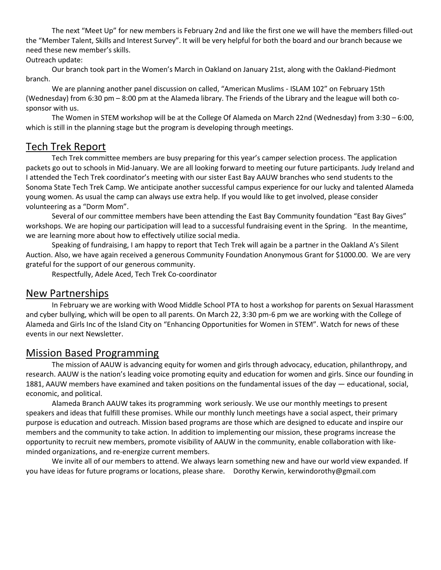The next "Meet Up" for new members is February 2nd and like the first one we will have the members filled-out the "Member Talent, Skills and Interest Survey". It will be very helpful for both the board and our branch because we need these new member's skills.

#### Outreach update:

Our branch took part in the Women's March in Oakland on January 21st, along with the Oakland-Piedmont branch.

We are planning another panel discussion on called, "American Muslims - ISLAM 102" on February 15th (Wednesday) from 6:30 pm – 8:00 pm at the Alameda library. The Friends of the Library and the league will both cosponsor with us.

The Women in STEM workshop will be at the College Of Alameda on March 22nd (Wednesday) from 3:30 – 6:00, which is still in the planning stage but the program is developing through meetings.

## Tech Trek Report

Tech Trek committee members are busy preparing for this year's camper selection process. The application packets go out to schools in Mid-January. We are all looking forward to meeting our future participants. Judy Ireland and I attended the Tech Trek coordinator's meeting with our sister East Bay AAUW branches who send students to the Sonoma State Tech Trek Camp. We anticipate another successful campus experience for our lucky and talented Alameda young women. As usual the camp can always use extra help. If you would like to get involved, please consider volunteering as a "Dorm Mom".

Several of our committee members have been attending the East Bay Community foundation "East Bay Gives" workshops. We are hoping our participation will lead to a successful fundraising event in the Spring. In the meantime, we are learning more about how to effectively utilize social media.

Speaking of fundraising, I am happy to report that Tech Trek will again be a partner in the Oakland A's Silent Auction. Also, we have again received a generous Community Foundation Anonymous Grant for \$1000.00. We are very grateful for the support of our generous community.

Respectfully, Adele Aced, Tech Trek Co-coordinator

## New Partnerships

In February we are working with Wood Middle School PTA to host a workshop for parents on Sexual Harassment and cyber bullying, which will be open to all parents. On March 22, 3:30 pm-6 pm we are working with the College of Alameda and Girls Inc of the Island City on "Enhancing Opportunities for Women in STEM". Watch for news of these events in our next Newsletter.

## Mission Based Programming

The mission of AAUW is advancing equity for women and girls through advocacy, education, philanthropy, and research. AAUW is the nation's leading voice promoting equity and education for women and girls. Since our founding in 1881, AAUW members have examined and taken positions on the fundamental issues of the day — educational, social, economic, and political.

Alameda Branch AAUW takes its programming work seriously. We use our monthly meetings to present speakers and ideas that fulfill these promises. While our monthly lunch meetings have a social aspect, their primary purpose is education and outreach. Mission based programs are those which are designed to educate and inspire our members and the community to take action. In addition to implementing our mission, these programs increase the opportunity to recruit new members, promote visibility of AAUW in the community, enable collaboration with likeminded organizations, and re-energize current members.

We invite all of our members to attend. We always learn something new and have our world view expanded. If you have ideas for future programs or locations, please share. Dorothy Kerwin, kerwindorothy@gmail.com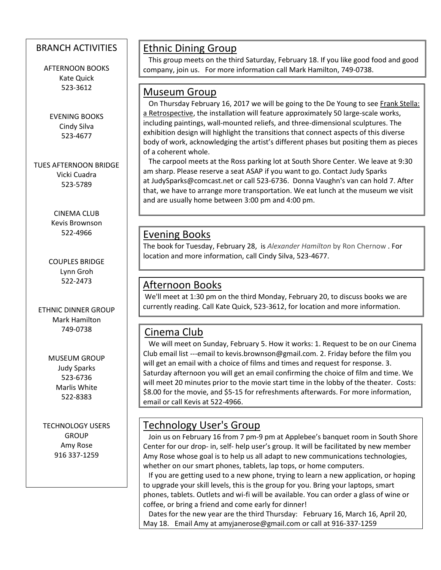## BRANCH ACTIVITIES

AFTERNOON BOOKS Kate Quick 523-3612

EVENING BOOKS Cindy Silva 523-4677

TUES AFTERNOON BRIDGE Vicki Cuadra 523-5789

> CINEMA CLUB Kevis Brownson 522-4966

COUPLES BRIDGE Lynn Groh 522-2473

ETHNIC DINNER GROUP Mark Hamilton 749-0738

> MUSEUM GROUP Judy Sparks 523-6736 Marlis White 522-8383

TECHNOLOGY USERS GROUP Amy Rose 916 337-1259

 $\overline{\phantom{a}}$ 

## Ethnic Dining Group

 This group meets on the third Saturday, February 18. If you like good food and good company, join us. For more information call Mark Hamilton, 749-0738.

## Museum Group

 On Thursday February 16, 2017 we will be going to the De Young to see Frank Stella: a Retrospective, the installation will feature approximately 50 large-scale works, including paintings, wall-mounted reliefs, and three-dimensional sculptures. The exhibition design will highlight the transitions that connect aspects of this diverse body of work, acknowledging the artist's different phases but positing them as pieces of a coherent whole.

 The carpool meets at the Ross parking lot at South Shore Center. We leave at 9:30 am sharp. Please reserve a seat ASAP if you want to go. Contact Judy Sparks at [JudySparks@comcast.net](mailto:JudySparks@comcast.net) or call 523-6736. Donna Vaughn's van can hold 7. After that, we have to arrange more transportation. We eat lunch at the museum we visit and are usually home between 3:00 pm and 4:00 pm.

## Evening Books

The book for Tuesday, February 28, is *Alexander Hamilton* by Ron Chernow . For location and more information, call Cindy Silva, 523-4677.

## Afternoon Books

We'll meet at 1:30 pm on the third Monday, February 20, to discuss books we are currently reading. Call Kate Quick, 523-3612, for location and more information.

## Cinema Club

 We will meet on Sunday, February 5. How it works: 1. Request to be on our Cinema Club email list ---email to [kevis.brownson@gmail.com.](mailto:kevis.brownson@gmail.com) 2. Friday before the film you will get an email with a choice of films and times and request for response. 3. Saturday afternoon you will get an email confirming the choice of film and time. We will meet 20 minutes prior to the movie start time in the lobby of the theater. Costs: \$8.00 for the movie, and \$5-15 for refreshments afterwards. For more information, email or call Kevis at 522-4966.

## Technology User's Group

 Join us on February 16 from 7 pm-9 pm at Applebee's banquet room in South Shore Center for our drop- in, self- help user's group. It will be facilitated by new member Amy Rose whose goal is to help us all adapt to new communications technologies, whether on our smart phones, tablets, lap tops, or home computers.

 If you are getting used to a new phone, trying to learn a new application, or hoping to upgrade your skill levels, this is the group for you. Bring your laptops, smart phones, tablets. Outlets and wi-fi will be available. You can order a glass of wine or coffee, or bring a friend and come early for dinner!

 Dates for the new year are the third Thursday: February 16, March 16, April 20, May 18. Email Amy a[t amyjanerose@gmail.com](mailto:amyjanerose@gmail.com) or call at 916-337-1259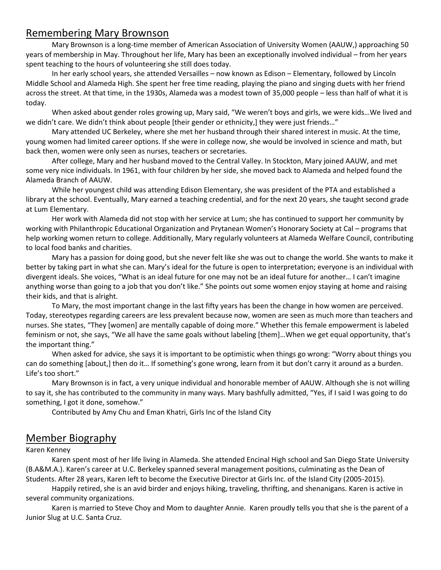## Remembering Mary Brownson

Mary Brownson is a long-time member of American Association of University Women (AAUW,) approaching 50 years of membership in May. Throughout her life, Mary has been an exceptionally involved individual – from her years spent teaching to the hours of volunteering she still does today.

In her early school years, she attended Versailles – now known as Edison – Elementary, followed by Lincoln Middle School and Alameda High. She spent her free time reading, playing the piano and singing duets with her friend across the street. At that time, in the 1930s, Alameda was a modest town of 35,000 people – less than half of what it is today.

When asked about gender roles growing up, Mary said, "We weren't boys and girls, we were kids…We lived and we didn't care. We didn't think about people [their gender or ethnicity,] they were just friends..."

Mary attended UC Berkeley, where she met her husband through their shared interest in music. At the time, young women had limited career options. If she were in college now, she would be involved in science and math, but back then, women were only seen as nurses, teachers or secretaries.

After college, Mary and her husband moved to the Central Valley. In Stockton, Mary joined AAUW, and met some very nice individuals. In 1961, with four children by her side, she moved back to Alameda and helped found the Alameda Branch of AAUW.

While her youngest child was attending Edison Elementary, she was president of the PTA and established a library at the school. Eventually, Mary earned a teaching credential, and for the next 20 years, she taught second grade at Lum Elementary.

Her work with Alameda did not stop with her service at Lum; she has continued to support her community by working with Philanthropic Educational Organization and Prytanean Women's Honorary Society at Cal – programs that help working women return to college. Additionally, Mary regularly volunteers at Alameda Welfare Council, contributing to local food banks and charities.

Mary has a passion for doing good, but she never felt like she was out to change the world. She wants to make it better by taking part in what she can. Mary's ideal for the future is open to interpretation; everyone is an individual with divergent ideals. She voices, "What is an ideal future for one may not be an ideal future for another… I can't imagine anything worse than going to a job that you don't like." She points out some women enjoy staying at home and raising their kids, and that is alright.

To Mary, the most important change in the last fifty years has been the change in how women are perceived. Today, stereotypes regarding careers are less prevalent because now, women are seen as much more than teachers and nurses. She states, "They [women] are mentally capable of doing more." Whether this female empowerment is labeled feminism or not, she says, "We all have the same goals without labeling [them]…When we get equal opportunity, that's the important thing."

When asked for advice, she says it is important to be optimistic when things go wrong: "Worry about things you can do something [about,] then do it… If something's gone wrong, learn from it but don't carry it around as a burden. Life's too short."

Mary Brownson is in fact, a very unique individual and honorable member of AAUW. Although she is not willing to say it, she has contributed to the community in many ways. Mary bashfully admitted, "Yes, if I said I was going to do something, I got it done, somehow."

Contributed by Amy Chu and Eman Khatri, Girls Inc of the Island City

## Member Biography

#### Karen Kenney

Karen spent most of her life living in Alameda. She attended Encinal High school and San Diego State University (B.A&M.A.). Karen's career at U.C. Berkeley spanned several management positions, culminating as the Dean of Students. After 28 years, Karen left to become the Executive Director at Girls Inc. of the Island City (2005-2015).

Happily retired, she is an avid birder and enjoys hiking, traveling, thrifting, and shenanigans. Karen is active in several community organizations.

Karen is married to Steve Choy and Mom to daughter Annie. Karen proudly tells you that she is the parent of a Junior Slug at U.C. Santa Cruz.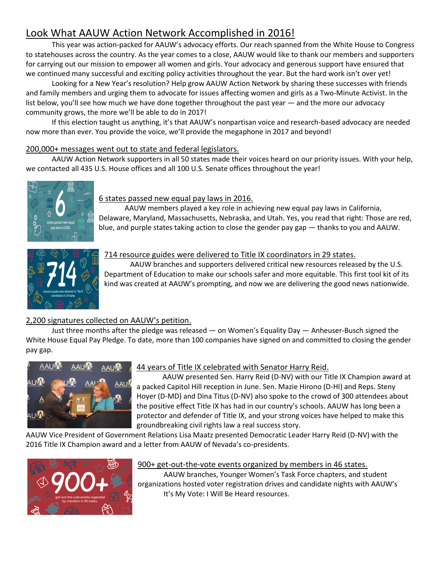## Look What AAUW Action Network Accomplished in 2016!

This year was action-packed for AAUW's advocacy efforts. Our reach spanned from the White House to Congress to statehouses across the country. As the year comes to a close, AAUW would like to thank our members and supporters for carrying out our mission to empower all women and girls. Your advocacy and generous [support](https://ww2.aauw.org/donate-gift-now/?treatment=AAUW9110-45&AppealCode=F17SSNBLG3) have ensured that we continued many successful and exciting policy activities throughout the year. But the hard work isn't over yet!

Looking for a New Year's resolution? Help grow AAUW Action Network by sharing these successes with friends and family members and urging them to advocate for issues affecting women and girls as [a Two-Minute Activist.](http://www.aauw.org/what-we-do/public-policy/two-minute-activist/) In the list below, you'll see how much we have done together throughout the past year — and the more our advocacy community grows, the more we'll be able to do in 2017!

If this election taught us anything, it's that AAUW's nonpartisan voice and research-based advocacy are needed now more than ever. You provide the voice, we'll provide the megaphone in 2017 and beyond!

#### 200,000+ messages went out to state and federal legislators.

AAUW Action Network supporters in all 50 states made their voices heard on our priority issues. With your help, we contacted all 435 U.S. House offices and all 100 U.S. Senate offices throughout the year!



#### 6 states passed new equal pay laws in 2016.

AAUW members played a key role in achievin[g new equal pay laws](http://www.aauw.org/2016/10/27/where-equal-pay-flourished-and-failed-in-2016/) in California, Delaware, Maryland, Massachusetts, Nebraska, and Utah. Yes, you read that right: Those are red, blue, and purple states taking action to close the gender pay gap — thanks to you and AAUW.



#### 714 resource guides were delivered to Title IX coordinators in 29 states.

AAUW branches and supporters delivered critical new resources released by the U.S. Department of Education to make our schools safer and more equitable. [This first tool kit](http://www.aauw.org/resource/titleixdelivery/) of its kind was created at AAUW's prompting, and now we are delivering the good news nationwide.

#### 2,200 signatures collected on AAUW's petition.

Just three months after the pledge was released — on Women's Equality Day — Anheuser-Busch signed the White House Equal Pay Pledge. To date[, more than 100 companies](http://www.aauw.org/article/newest-companies-to-sign-white-house-equal-pay-pledge/) have signed on and committed to closing the gender pay gap.



#### 44 years of Title IX celebrated with Senator Harry Reid.

AAUW presented Sen. Harry Reid (D-NV) with our [Title IX Champion award](http://www.aauw.org/2016/07/05/aauw-honors-sen-harry-reid-as2016-title-ix-champion/) at a packed Capitol Hill reception in June. Sen. Mazie Hirono (D-HI) and Reps. Steny Hoyer (D-MD) and Dina Titus (D-NV) also spoke to the crowd of 300 attendees about the positive effect Title IX has had in our country's schools. AAUW has long been a protector and defender of Title IX, and your strong voices have helped to make this groundbreaking civil rights law a real success story.

AAUW Vice President of Government Relations Lisa Maatz presented Democratic Leader Harry Reid (D-NV) with the 2016 Title IX Champion award and a letter from AAUW of Nevada's co-presidents.



#### 900+ get-out-the-vote events organized by members in 46 states.

AAUW branches, Younger Women's Task Force chapters, and student organizations hosted voter registration drives and candidate nights with AAUW's [It's My Vote: I Will Be Heard](https://www.aauwaction.org/my-vote/) resources.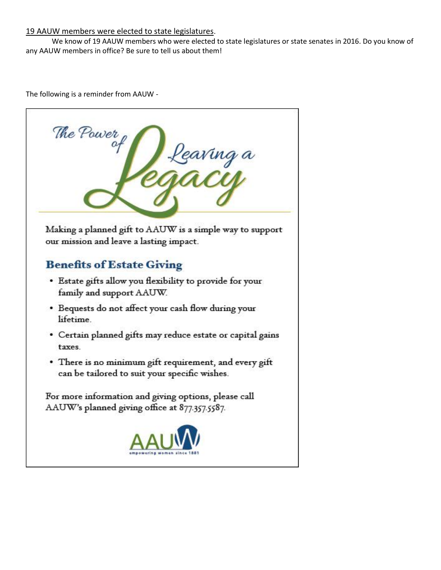#### 19 AAUW members were elected to state legislatures.

We know of 19 AAUW members who were elected to state legislatures or state senates in 2016. Do you know of any AAUW members in office? Be sure to [tell us](https://docs.google.com/forms/d/e/1FAIpQLSe3tmcoRc9cgmFqmvpBvF9queoPfNf8v13FhmGogFIKN-WkAw/viewform?c=0&w=1) about them!

The following is a reminder from AAUW -